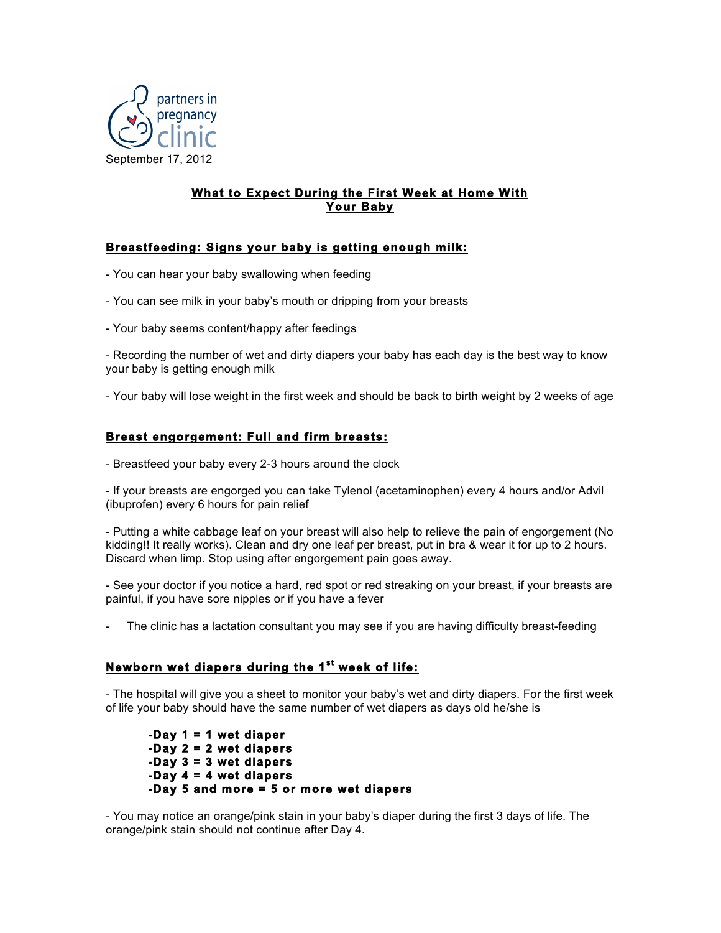

## **What to Expect During the First Week at Home With Your Baby**

## **Breastfeeding: Signs your baby is getting enough milk:**

- You can hear your baby swallowing when feeding
- You can see milk in your baby's mouth or dripping from your breasts
- Your baby seems content/happy after feedings

- Recording the number of wet and dirty diapers your baby has each day is the best way to know your baby is getting enough milk

- Your baby will lose weight in the first week and should be back to birth weight by 2 weeks of age

## **Breast engorgement: Full and firm breasts:**

- Breastfeed your baby every 2-3 hours around the clock

- If your breasts are engorged you can take Tylenol (acetaminophen) every 4 hours and/or Advil (ibuprofen) every 6 hours for pain relief

- Putting a white cabbage leaf on your breast will also help to relieve the pain of engorgement (No kidding!! It really works). Clean and dry one leaf per breast, put in bra & wear it for up to 2 hours. Discard when limp. Stop using after engorgement pain goes away.

- See your doctor if you notice a hard, red spot or red streaking on your breast, if your breasts are painful, if you have sore nipples or if you have a fever

The clinic has a lactation consultant you may see if you are having difficulty breast-feeding

### **Newborn wet diapers during the 1st week of life:**

- The hospital will give you a sheet to monitor your baby's wet and dirty diapers. For the first week of life your baby should have the same number of wet diapers as days old he/she is

**-Day 1 = 1 wet diaper -Day 2 = 2 wet diapers -Day 3 = 3 wet diapers -Day 4 = 4 wet diapers -Day 5 and more = 5 or more wet diapers** 

- You may notice an orange/pink stain in your baby's diaper during the first 3 days of life. The orange/pink stain should not continue after Day 4.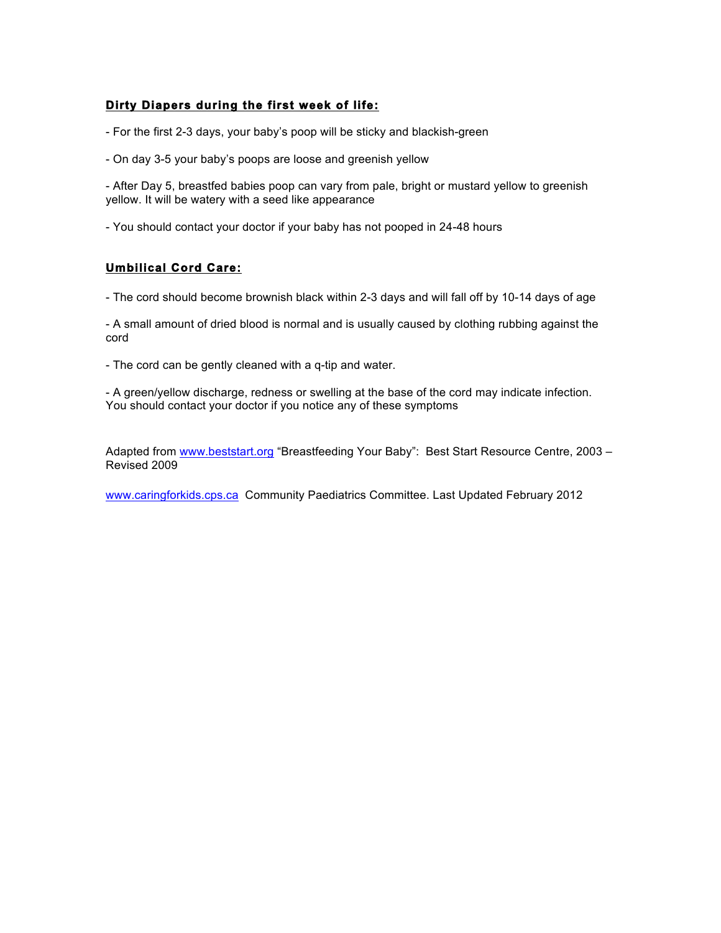# **Dirty Diapers during the first week of life:**

- For the first 2-3 days, your baby's poop will be sticky and blackish-green
- On day 3-5 your baby's poops are loose and greenish yellow

- After Day 5, breastfed babies poop can vary from pale, bright or mustard yellow to greenish yellow. It will be watery with a seed like appearance

- You should contact your doctor if your baby has not pooped in 24-48 hours

# **Umbilical Cord Care:**

- The cord should become brownish black within 2-3 days and will fall off by 10-14 days of age

- A small amount of dried blood is normal and is usually caused by clothing rubbing against the cord

- The cord can be gently cleaned with a q-tip and water.

- A green/yellow discharge, redness or swelling at the base of the cord may indicate infection. You should contact your doctor if you notice any of these symptoms

Adapted from www.beststart.org "Breastfeeding Your Baby": Best Start Resource Centre, 2003 -Revised 2009

www.caringforkids.cps.ca Community Paediatrics Committee. Last Updated February 2012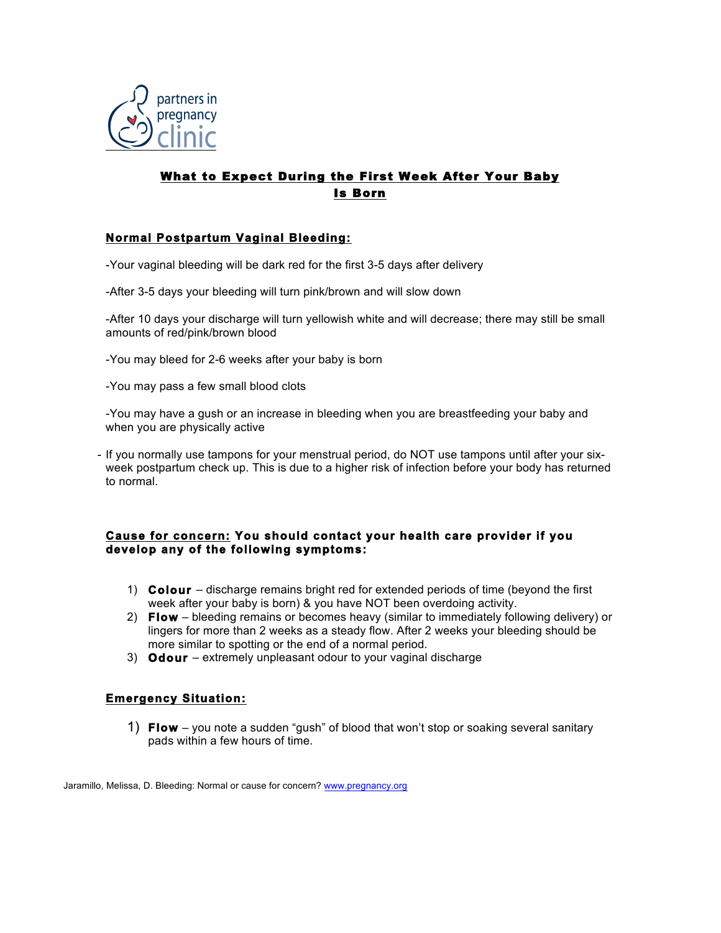

# What to Expect During the First Week After Your Baby Is Born

# **Normal Postpartum Vaginal Bleeding:**

- -Your vaginal bleeding will be dark red for the first 3-5 days after delivery
- -After 3-5 days your bleeding will turn pink/brown and will slow down

-After 10 days your discharge will turn yellowish white and will decrease; there may still be small amounts of red/pink/brown blood

- -You may bleed for 2-6 weeks after your baby is born
- -You may pass a few small blood clots

-You may have a gush or an increase in bleeding when you are breastfeeding your baby and when you are physically active

- If you normally use tampons for your menstrual period, do NOT use tampons until after your sixweek postpartum check up. This is due to a higher risk of infection before your body has returned to normal.

#### **Cause for concern: You should contact your health care provider if you develop any of the following symptoms:**

- 1) **Colour**  discharge remains bright red for extended periods of time (beyond the first week after your baby is born) & you have NOT been overdoing activity.
- 2) **Flow** bleeding remains or becomes heavy (similar to immediately following delivery) or lingers for more than 2 weeks as a steady flow. After 2 weeks your bleeding should be more similar to spotting or the end of a normal period.
- 3) **Odour**  extremely unpleasant odour to your vaginal discharge

### **Emergency Situation:**

1) **Flow** – you note a sudden "gush" of blood that won't stop or soaking several sanitary pads within a few hours of time.

Jaramillo, Melissa, D. Bleeding: Normal or cause for concern? www.pregnancy.org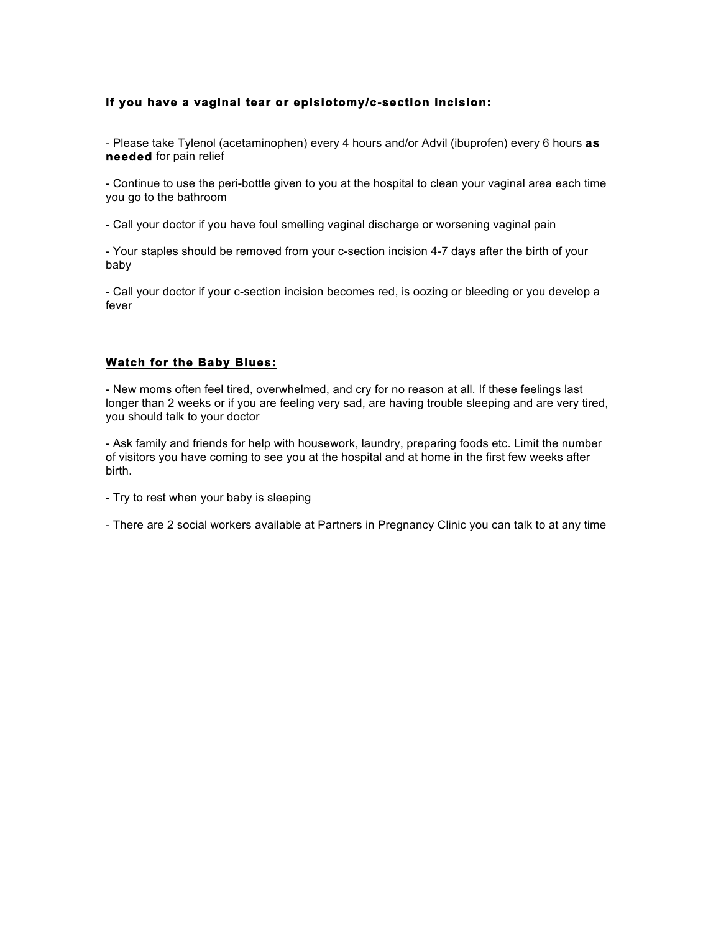## **If you have a vaginal tear or episiotomy/c-section incision:**

- Please take Tylenol (acetaminophen) every 4 hours and/or Advil (ibuprofen) every 6 hours **as needed** for pain relief

- Continue to use the peri-bottle given to you at the hospital to clean your vaginal area each time you go to the bathroom

- Call your doctor if you have foul smelling vaginal discharge or worsening vaginal pain

- Your staples should be removed from your c-section incision 4-7 days after the birth of your baby

- Call your doctor if your c-section incision becomes red, is oozing or bleeding or you develop a fever

### **Watch for the Baby Blues:**

- New moms often feel tired, overwhelmed, and cry for no reason at all. If these feelings last longer than 2 weeks or if you are feeling very sad, are having trouble sleeping and are very tired, you should talk to your doctor

- Ask family and friends for help with housework, laundry, preparing foods etc. Limit the number of visitors you have coming to see you at the hospital and at home in the first few weeks after birth.

- Try to rest when your baby is sleeping

- There are 2 social workers available at Partners in Pregnancy Clinic you can talk to at any time